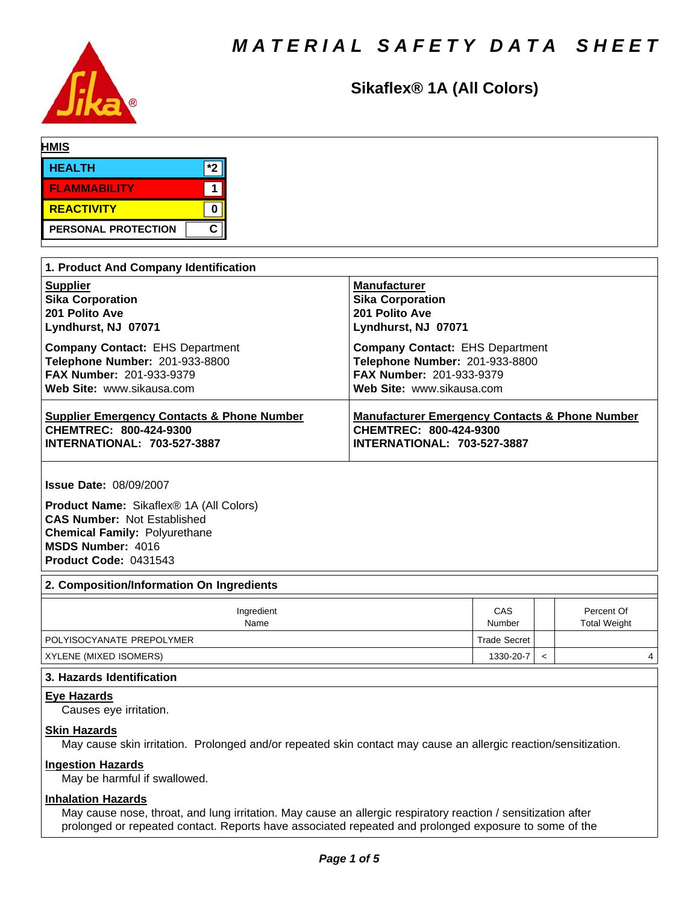

# **Sikaflex® 1A (All Colors)**

| <b>HMIS</b>                |     |
|----------------------------|-----|
| <b>HEALTH</b>              | $*$ |
| <b>FLAMMABILITY</b>        |     |
| <b>REACTIVITY</b>          |     |
| <b>PERSONAL PROTECTION</b> | C   |

| 1. Product And Company Identification                 |                                                           |  |  |  |
|-------------------------------------------------------|-----------------------------------------------------------|--|--|--|
| <b>Supplier</b>                                       | <b>Manufacturer</b>                                       |  |  |  |
| <b>Sika Corporation</b>                               | <b>Sika Corporation</b>                                   |  |  |  |
| 201 Polito Ave                                        | 201 Polito Ave                                            |  |  |  |
| Lyndhurst, NJ 07071                                   | Lyndhurst, NJ 07071                                       |  |  |  |
| <b>Company Contact: EHS Department</b>                | <b>Company Contact: EHS Department</b>                    |  |  |  |
| Telephone Number: 201-933-8800                        | Telephone Number: 201-933-8800                            |  |  |  |
| <b>FAX Number: 201-933-9379</b>                       | <b>FAX Number: 201-933-9379</b>                           |  |  |  |
| Web Site: www.sikausa.com                             | Web Site: www.sikausa.com                                 |  |  |  |
| <b>Supplier Emergency Contacts &amp; Phone Number</b> | <b>Manufacturer Emergency Contacts &amp; Phone Number</b> |  |  |  |
| CHEMTREC: 800-424-9300                                | CHEMTREC: 800-424-9300                                    |  |  |  |
| <b>INTERNATIONAL: 703-527-3887</b>                    | <b>INTERNATIONAL: 703-527-3887</b>                        |  |  |  |

**Issue Date:** 08/09/2007

**Product Name:** Sikaflex® 1A (All Colors) **CAS Number:** Not Established **Chemical Family:** Polyurethane **MSDS Number:** 4016 **Product Code:** 0431543

#### **2. Composition/Information On Ingredients**

| Ingredient<br>Name        | CAS<br>Number | Percent Of<br><b>Total Weight</b> |
|---------------------------|---------------|-----------------------------------|
| POLYISOCYANATE PREPOLYMER | Trade Secret  |                                   |
| XYLENE (MIXED ISOMERS)    | 1330-20-7     | 4                                 |

# **3. Hazards Identification**

**Eye Hazards**

Causes eye irritation.

# **Skin Hazards**

May cause skin irritation. Prolonged and/or repeated skin contact may cause an allergic reaction/sensitization.

# **Ingestion Hazards**

May be harmful if swallowed.

# **Inhalation Hazards**

May cause nose, throat, and lung irritation. May cause an allergic respiratory reaction / sensitization after prolonged or repeated contact. Reports have associated repeated and prolonged exposure to some of the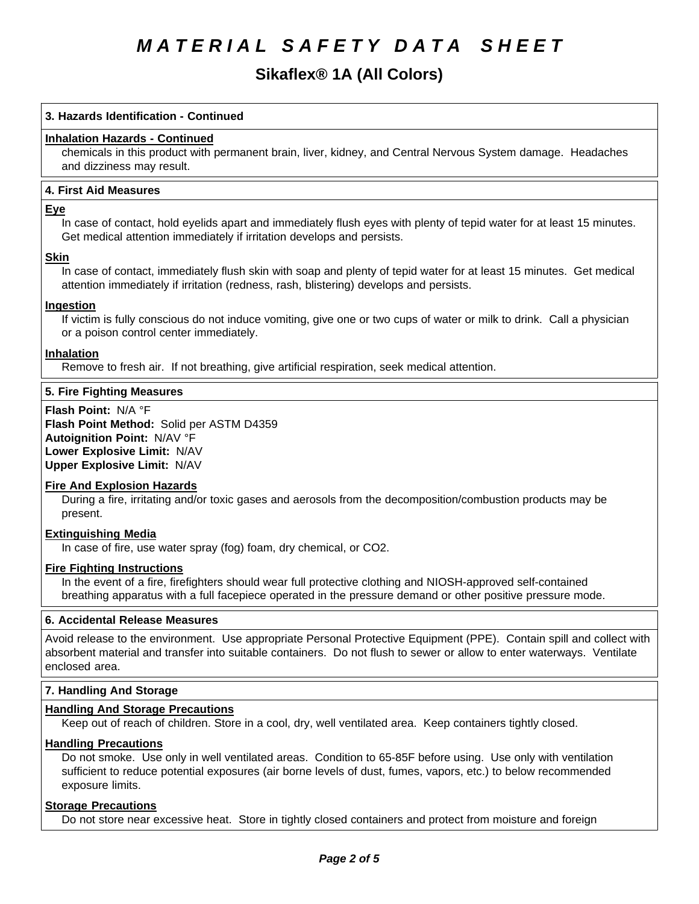# **Sikaflex® 1A (All Colors)**

## **3. Hazards Identification - Continued**

### **Inhalation Hazards - Continued**

chemicals in this product with permanent brain, liver, kidney, and Central Nervous System damage. Headaches and dizziness may result.

#### **4.First AidMeasures**

#### **Eye**

In case of contact, hold eyelids apart and immediately flush eyes with plenty of tepid water for at least 15 minutes. Get medical attention immediately if irritation develops and persists.

#### **Skin**

In case of contact, immediately flush skin with soap and plenty of tepid water for at least 15 minutes. Get medical attention immediately if irritation (redness, rash, blistering) develops and persists.

#### **Ingestion**

If victim is fully conscious do not induce vomiting, give one or two cups of water or milk to drink. Call a physician or a poison control center immediately.

#### **Inhalation**

Remove to fresh air. If not breathing, give artificial respiration, seek medical attention.

#### **5. Fire Fighting Measures**

**Flash Point:** N/A°F **Flash Point Method: Solid per ASTM D4359 Autoignition Point:** N/AV°F **Lower Explosive Limit:** N/AV **Upper Explosive Limit:** N/AV

#### **Fire And Explosion Hazards**

During a fire, irritating and/or toxic gases and aerosols from the decomposition/combustion products may be present.

# **Extinguishing Media**

In case of fire, use water spray (fog) foam, dry chemical, or CO2.

#### **Fire Fighting Instructions**

In the event of a fire, firefighters should wear full protective clothing and NIOSH-approved self-contained breathing apparatus with a full facepiece operated in the pressure demand or other positive pressure mode.

#### **6. Accidental Release Measures**

Avoid release to the environment. Use appropriate Personal Protective Equipment (PPE). Contain spill and collect with absorbent material and transfer into suitable containers. Do not flush to sewer or allow to enter waterways. Ventilate enclosed area.

#### **7. Handling And Storage**

#### **Handling And Storage Precautions**

Keep out of reach of children. Store in a cool, dry, well ventilated area. Keep containers tightly closed.

#### **Handling Precautions**

Do not smoke. Use only in well ventilated areas. Condition to 65-85F before using. Use only with ventilation sufficient to reduce potential exposures (air borne levels of dust, fumes, vapors, etc.) to below recommended exposure limits.

#### **Storage Precautions**

Do not store near excessive heat. Store in tightly closed containers and protect from moisture and foreign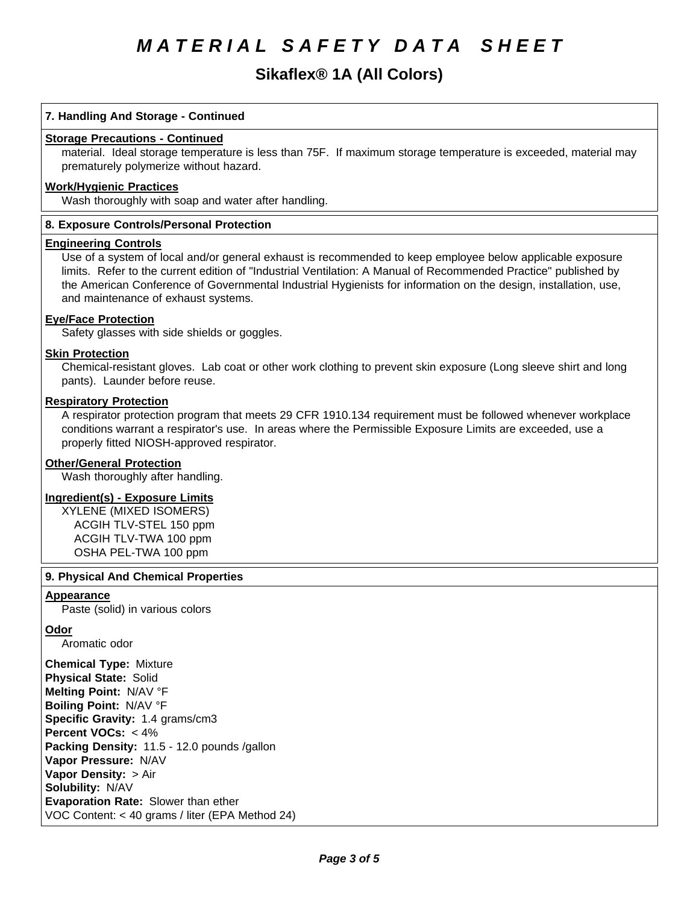# **Sikaflex® 1A (All Colors)**

## **7. Handling And Storage - Continued**

#### **Storage Precautions - Continued**

material. Ideal storage temperature is less than 75F. If maximum storage temperature is exceeded, material may prematurely polymerize without hazard.

# **Work/Hygienic Practices**

Wash thoroughly with soap and water after handling.

#### **8. Exposure Controls/Personal Protection**

#### **Engineering Controls**

Use of a system of local and/or general exhaust is recommended to keep employee below applicable exposure limits. Refer to the current edition of "Industrial Ventilation: A Manual of Recommended Practice" published by the American Conference of Governmental Industrial Hygienists for information on the design, installation, use, and maintenance of exhaust systems.

#### **Eye/Face Protection**

Safety glasses with side shields or goggles.

#### **Skin Protection**

Chemical-resistant gloves. Lab coat or other work clothing to prevent skin exposure (Long sleeve shirt and long pants). Launder before reuse.

### **Respiratory Protection**

A respirator protection program that meets 29 CFR 1910.134 requirement must be followed whenever workplace conditions warrant a respirator's use. In areas where the Permissible Exposure Limits are exceeded, use a properly fitted NIOSH-approved respirator.

#### **Other/General Protection**

Wash thoroughly after handling.

#### **Ingredient(s) - Exposure Limits**

XYLENE (MIXEDISOMERS) ACGIH TLV-STEL 150 ppm ACGIH TLV-TWA100 ppm OSHA PEL-TWA 100 ppm

#### **9. PhysicalAnd Chemical Properties**

#### **Appearance**

Paste (solid) in various colors

#### **Odor**

Aromatic odor

**Chemical Type:** Mixture **Physical State:** Solid **Melting Point:** N/AV°F **Boiling Point:** N/AV°F **Specific Gravity:** 1.4 grams/cm3 **Percent VOCs:** <4% Packing Density: 11.5 - 12.0 pounds /gallon **Vapor Pressure:** N/AV **Vapor Density: > Air Solubility: N/AV Evaporation Rate:** Slower than ether VOC Content: < 40 grams / liter (EPA Method 24)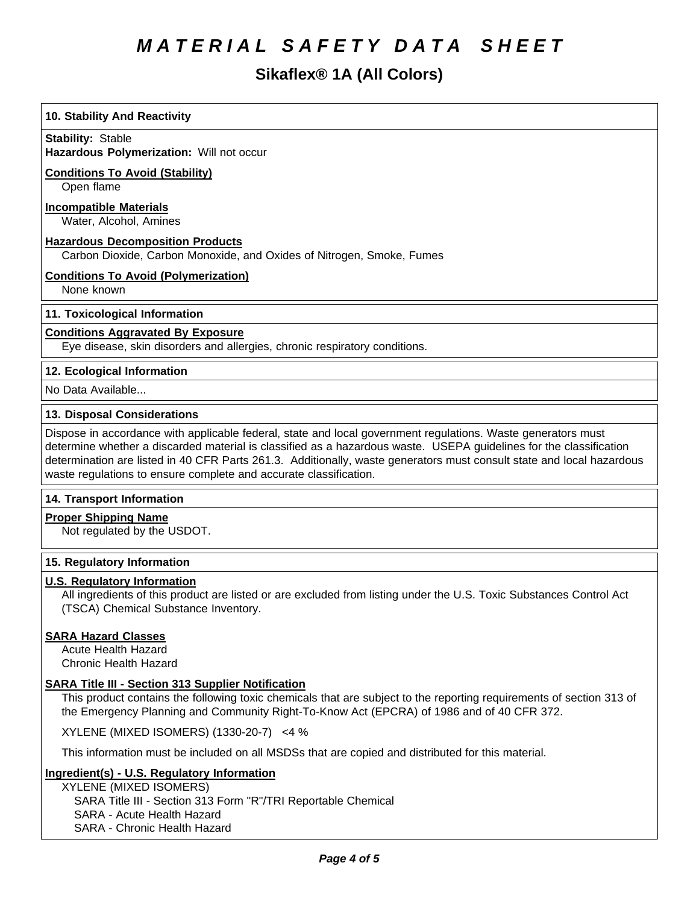# **Sikaflex® 1A (All Colors)**

# **10. Stability And Reactivity**

**Stability: Stable** 

**Hazardous Polymerization: Will not occur** 

# **Conditions To Avoid (Stability)**

Open flame

# **Incompatible Materials**

Water, Alcohol, Amines

#### **Hazardous Decomposition Products**

Carbon Dioxide, Carbon Monoxide, and Oxides of Nitrogen, Smoke, Fumes

# **Conditions To Avoid (Polymerization)**

None known

# **11. Toxicological Information**

# **Conditions Aggravated By Exposure**

Eye disease, skin disorders and allergies, chronic respiratory conditions.

# **12. Ecological Information**

No Data Available...

# **13. Disposal Considerations**

Dispose in accordance with applicable federal, state and local government regulations. Waste generators must determine whether a discarded material is classified as a hazardous waste. USEPA guidelines for the classification determination are listed in 40 CFR Parts 261.3. Additionally, waste generators must consult state and local hazardous waste regulations to ensure complete and accurate classification.

#### **14. Transport Information**

#### **Proper Shipping Name**

Not regulated by the USDOT.

#### **15. Regulatory Information**

#### **U.S. Regulatory Information**

All ingredients of this product are listed or are excluded from listing under the U.S. Toxic Substances Control Act (TSCA) Chemical Substance Inventory.

# **SARA Hazard Classes**

Acute Health Hazard Chronic Health Hazard

# **SARA Title III - Section 313 Supplier Notification**

This product contains the following toxic chemicals that are subject to the reporting requirements of section 313 of the Emergency Planning and Community Right-To-Know Act (EPCRA) of 1986 and of 40 CFR 372.

XYLENE(MIXEDISOMERS)(1330-20-7) <4%

This information must be included on all MSDSs that are copied and distributed for this material.

#### **Ingredient(s) - U.S. Regulatory Information**

XYLENE (MIXEDISOMERS) SARA Title III - Section 313 Form "R"/TRI Reportable Chemical SARA - Acute Health Hazard SARA - Chronic Health Hazard